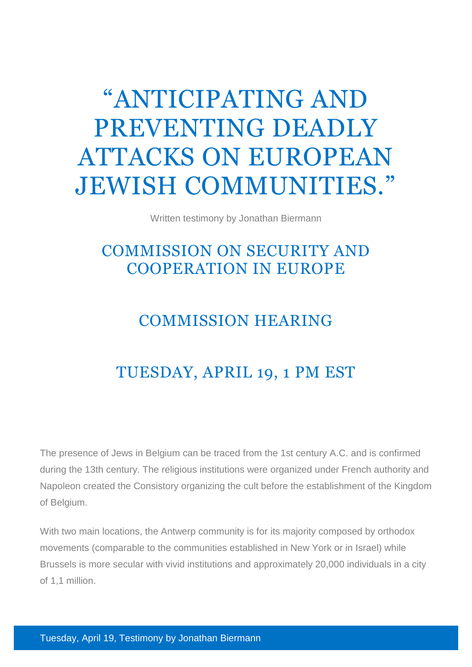## "ANTICIPATING AND PREVENTING DEADLY ATTACKS ON EUROPEAN JEWISH COMMUNITIES."

Written testimony by Jonathan Biermann

## COMMISSION ON SECURITY AND COOPERATION IN EUROPE

## COMMISSION HEARING

## TUESDAY, APRIL 19, 1 PM EST

The presence of Jews in Belgium can be traced from the 1st century A.C. and is confirmed during the 13th century. The religious institutions were organized under French authority and Napoleon created the Consistory organizing the cult before the establishment of the Kingdom of Belgium.

With two main locations, the Antwerp community is for its majority composed by orthodox movements (comparable to the communities established in New York or in Israel) while Brussels is more secular with vivid institutions and approximately 20,000 individuals in a city of 1,1 million.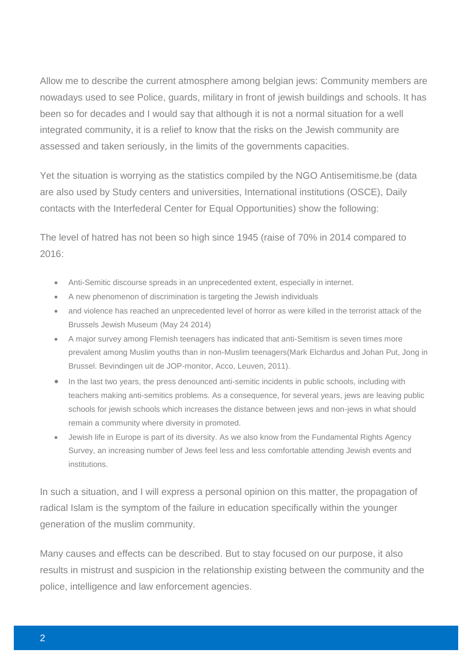Allow me to describe the current atmosphere among belgian jews: Community members are nowadays used to see Police, guards, military in front of jewish buildings and schools. It has been so for decades and I would say that although it is not a normal situation for a well integrated community, it is a relief to know that the risks on the Jewish community are assessed and taken seriously, in the limits of the governments capacities.

Yet the situation is worrying as the statistics compiled by the NGO Antisemitisme.be (data are also used by Study centers and universities, International institutions (OSCE), Daily contacts with the Interfederal Center for Equal Opportunities) show the following:

The level of hatred has not been so high since 1945 (raise of 70% in 2014 compared to 2016:

- Anti-Semitic discourse spreads in an unprecedented extent, especially in internet.
- A new phenomenon of discrimination is targeting the Jewish individuals
- and violence has reached an unprecedented level of horror as were killed in the terrorist attack of the Brussels Jewish Museum (May 24 2014)
- A major survey among Flemish teenagers has indicated that anti-Semitism is seven times more prevalent among Muslim youths than in non-Muslim teenagers(Mark Elchardus and Johan Put, Jong in Brussel. Bevindingen uit de JOP-monitor, Acco, Leuven, 2011).
- In the last two years, the press denounced anti-semitic incidents in public schools, including with teachers making anti-semitics problems. As a consequence, for several years, jews are leaving public schools for jewish schools which increases the distance between jews and non-jews in what should remain a community where diversity in promoted.
- Jewish life in Europe is part of its diversity. As we also know from the Fundamental Rights Agency Survey, an increasing number of Jews feel less and less comfortable attending Jewish events and institutions.

In such a situation, and I will express a personal opinion on this matter, the propagation of radical Islam is the symptom of the failure in education specifically within the younger generation of the muslim community.

Many causes and effects can be described. But to stay focused on our purpose, it also results in mistrust and suspicion in the relationship existing between the community and the police, intelligence and law enforcement agencies.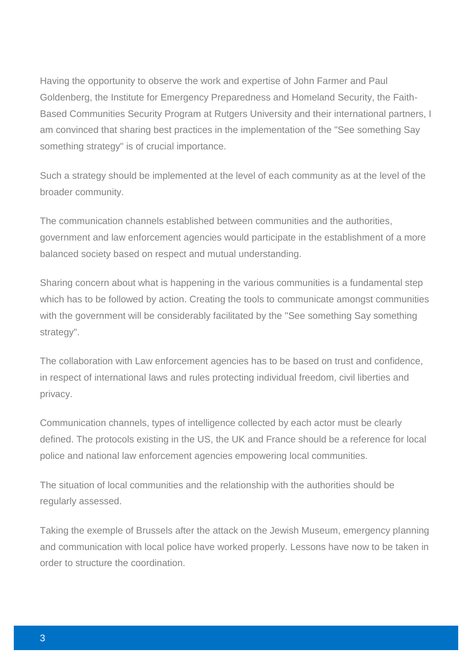Having the opportunity to observe the work and expertise of John Farmer and Paul Goldenberg, the Institute for Emergency Preparedness and Homeland Security, the Faith-Based Communities Security Program at Rutgers University and their international partners, I am convinced that sharing best practices in the implementation of the "See something Say something strategy" is of crucial importance.

Such a strategy should be implemented at the level of each community as at the level of the broader community.

The communication channels established between communities and the authorities, government and law enforcement agencies would participate in the establishment of a more balanced society based on respect and mutual understanding.

Sharing concern about what is happening in the various communities is a fundamental step which has to be followed by action. Creating the tools to communicate amongst communities with the government will be considerably facilitated by the "See something Say something strategy".

The collaboration with Law enforcement agencies has to be based on trust and confidence, in respect of international laws and rules protecting individual freedom, civil liberties and privacy.

Communication channels, types of intelligence collected by each actor must be clearly defined. The protocols existing in the US, the UK and France should be a reference for local police and national law enforcement agencies empowering local communities.

The situation of local communities and the relationship with the authorities should be regularly assessed.

Taking the exemple of Brussels after the attack on the Jewish Museum, emergency planning and communication with local police have worked properly. Lessons have now to be taken in order to structure the coordination.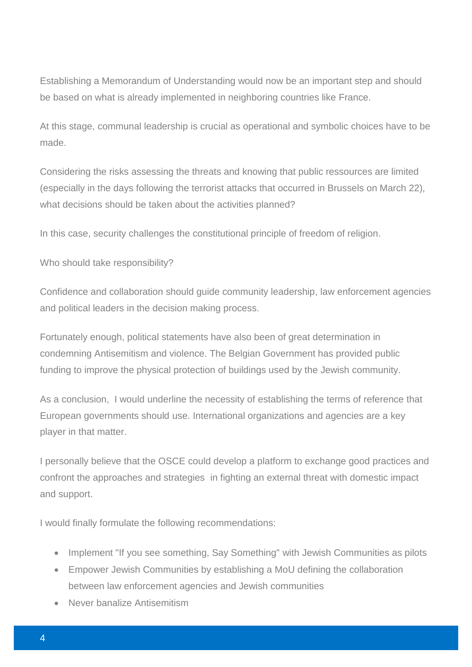Establishing a Memorandum of Understanding would now be an important step and should be based on what is already implemented in neighboring countries like France.

At this stage, communal leadership is crucial as operational and symbolic choices have to be made.

Considering the risks assessing the threats and knowing that public ressources are limited (especially in the days following the terrorist attacks that occurred in Brussels on March 22), what decisions should be taken about the activities planned?

In this case, security challenges the constitutional principle of freedom of religion.

Who should take responsibility?

Confidence and collaboration should guide community leadership, law enforcement agencies and political leaders in the decision making process.

Fortunately enough, political statements have also been of great determination in condemning Antisemitism and violence. The Belgian Government has provided public funding to improve the physical protection of buildings used by the Jewish community.

As a conclusion, I would underline the necessity of establishing the terms of reference that European governments should use. International organizations and agencies are a key player in that matter.

I personally believe that the OSCE could develop a platform to exchange good practices and confront the approaches and strategies in fighting an external threat with domestic impact and support.

I would finally formulate the following recommendations:

- Implement "If you see something, Say Something" with Jewish Communities as pilots
- Empower Jewish Communities by establishing a MoU defining the collaboration between law enforcement agencies and Jewish communities
- Never banalize Antisemitism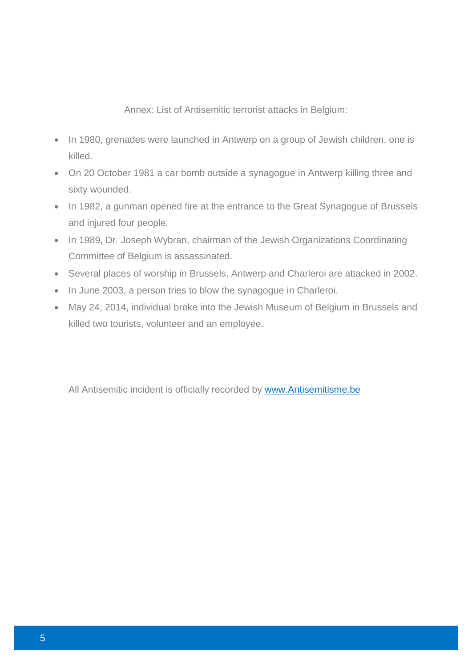Annex: List of Antisemitic terrorist attacks in Belgium:

- In 1980, grenades were launched in Antwerp on a group of Jewish children, one is killed.
- On 20 October 1981 a car bomb outside a synagogue in Antwerp killing three and sixty wounded.
- In 1982, a gunman opened fire at the entrance to the Great Synagogue of Brussels and injured four people.
- In 1989, Dr. Joseph Wybran, chairman of the Jewish Organizations Coordinating Committee of Belgium is assassinated.
- Several places of worship in Brussels, Antwerp and Charleroi are attacked in 2002.
- In June 2003, a person tries to blow the synagogue in Charleroi.
- May 24, 2014, individual broke into the Jewish Museum of Belgium in Brussels and killed two tourists, volunteer and an employee.

All Antisemitic incident is officially recorded by [www.Antisemitisme.be](http://www.antisemitisme.be/)